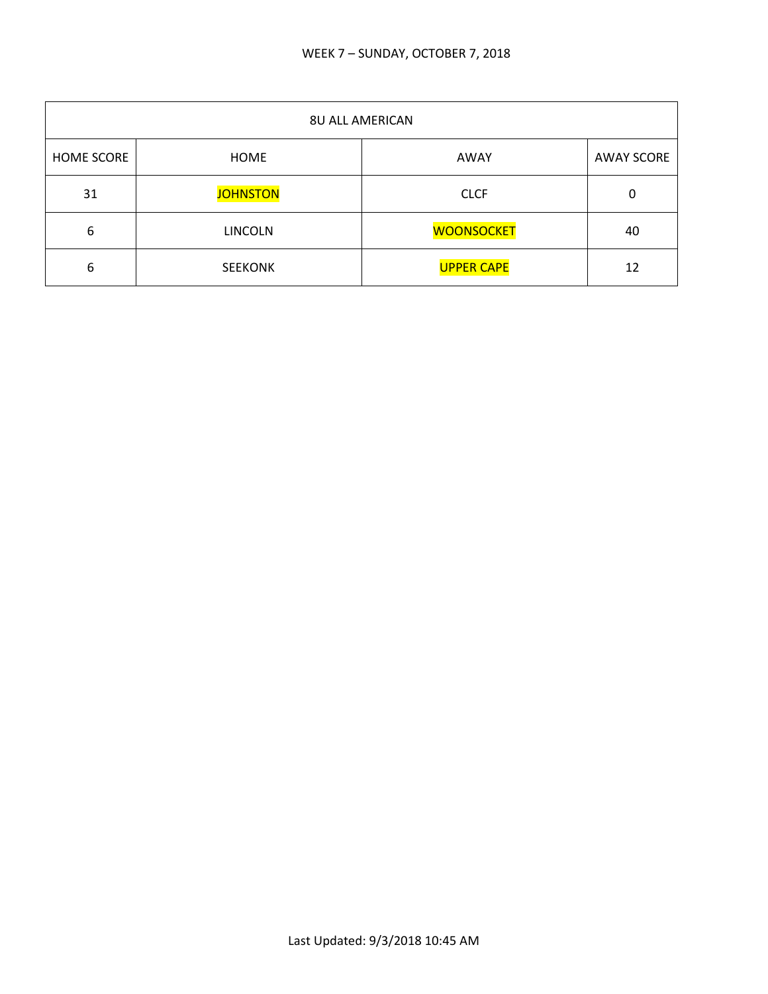| <b>8U ALL AMERICAN</b> |                 |                   |                   |
|------------------------|-----------------|-------------------|-------------------|
| <b>HOME SCORE</b>      | HOME            | AWAY              | <b>AWAY SCORE</b> |
| 31                     | <b>JOHNSTON</b> | <b>CLCF</b>       | 0                 |
| 6                      | <b>LINCOLN</b>  | <b>WOONSOCKET</b> | 40                |
| 6                      | <b>SEEKONK</b>  | <b>UPPER CAPE</b> | 12                |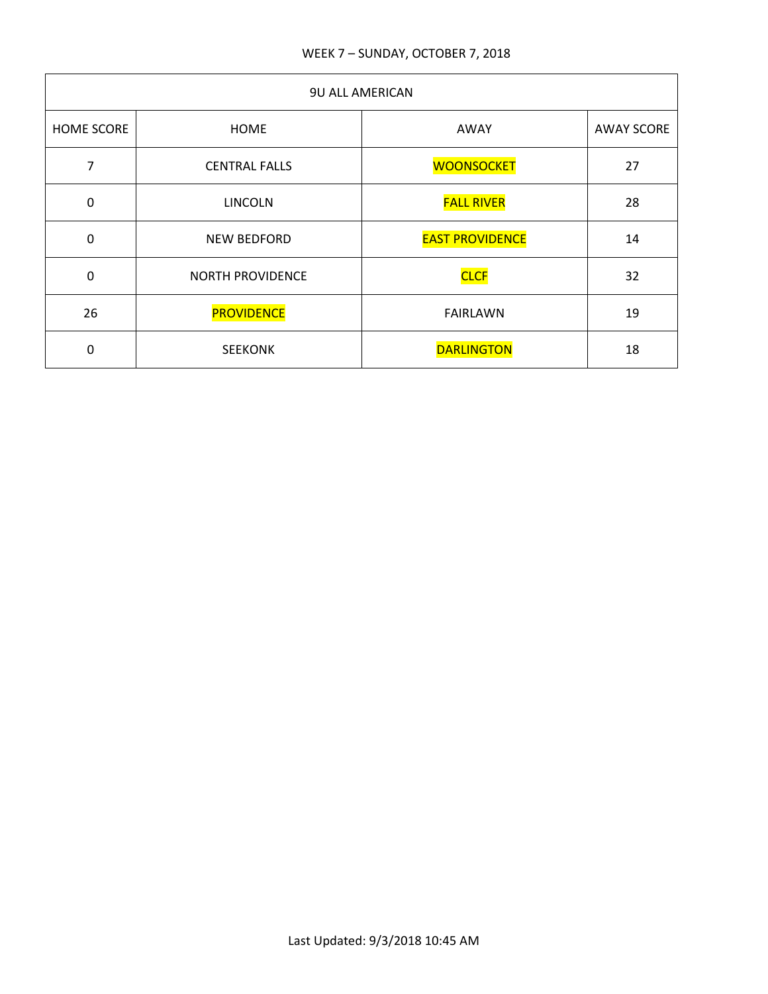| <b>9U ALL AMERICAN</b> |                         |                        |                   |
|------------------------|-------------------------|------------------------|-------------------|
| <b>HOME SCORE</b>      | <b>HOME</b>             | AWAY                   | <b>AWAY SCORE</b> |
| 7                      | <b>CENTRAL FALLS</b>    | <b>WOONSOCKET</b>      | 27                |
| $\mathbf 0$            | <b>LINCOLN</b>          | <b>FALL RIVER</b>      | 28                |
| $\mathbf 0$            | <b>NEW BEDFORD</b>      | <b>EAST PROVIDENCE</b> | 14                |
| $\mathbf 0$            | <b>NORTH PROVIDENCE</b> | <b>CLCF</b>            | 32                |
| 26                     | <b>PROVIDENCE</b>       | <b>FAIRLAWN</b>        | 19                |
| 0                      | <b>SEEKONK</b>          | <b>DARLINGTON</b>      | 18                |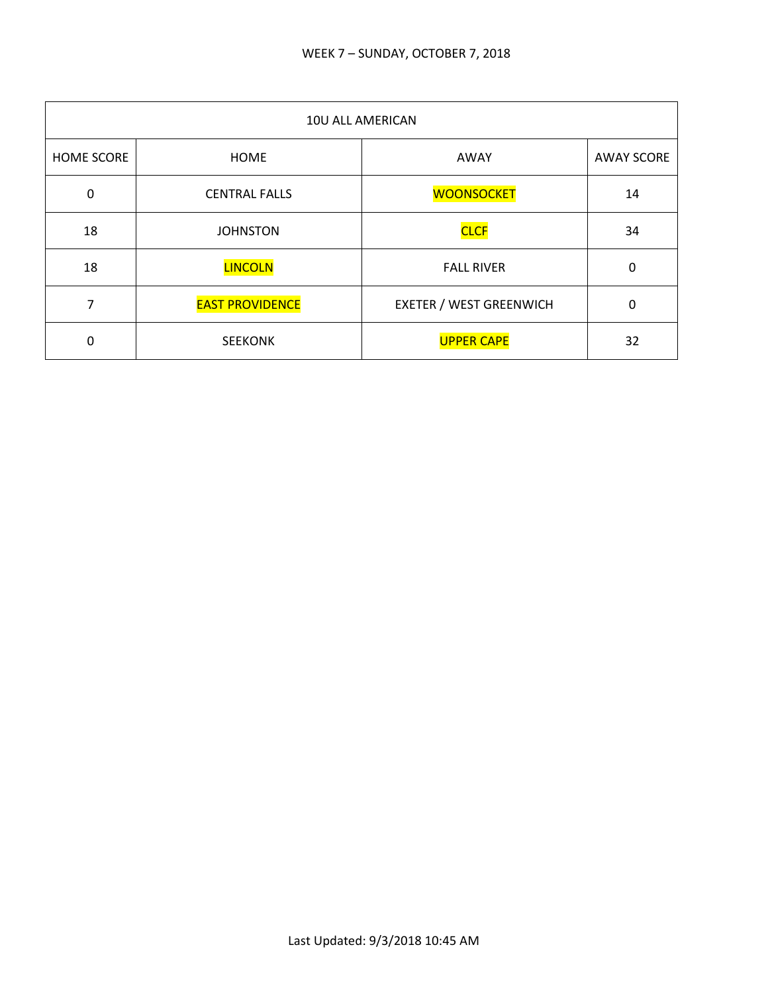| 10U ALL AMERICAN  |                        |                                |                   |
|-------------------|------------------------|--------------------------------|-------------------|
| <b>HOME SCORE</b> | <b>HOME</b>            | AWAY                           | <b>AWAY SCORE</b> |
| $\mathbf 0$       | <b>CENTRAL FALLS</b>   | <b>WOONSOCKET</b>              | 14                |
| 18                | <b>JOHNSTON</b>        | <b>CLCF</b>                    | 34                |
| 18                | <b>LINCOLN</b>         | <b>FALL RIVER</b>              | $\Omega$          |
| 7                 | <b>EAST PROVIDENCE</b> | <b>EXETER / WEST GREENWICH</b> | 0                 |
| 0                 | <b>SEEKONK</b>         | <b>UPPER CAPE</b>              | 32                |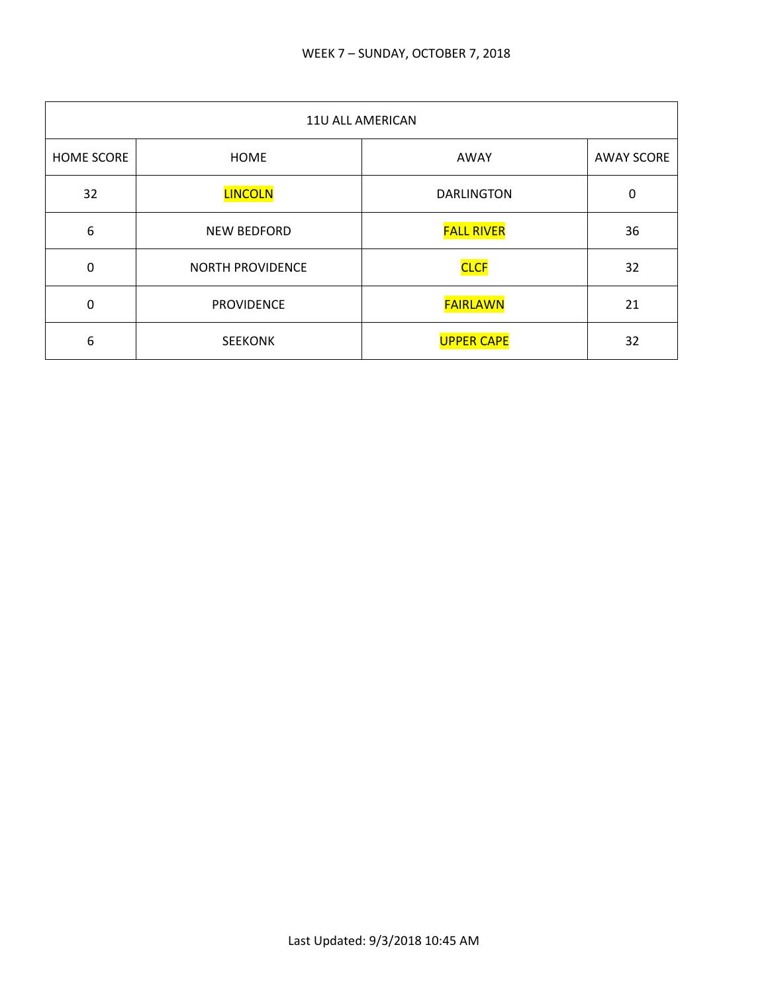| 11U ALL AMERICAN |                         |                   |                   |
|------------------|-------------------------|-------------------|-------------------|
| HOME SCORE       | <b>HOME</b>             | AWAY              | <b>AWAY SCORE</b> |
| 32               | <b>LINCOLN</b>          | <b>DARLINGTON</b> | 0                 |
| 6                | NEW BEDFORD             | <b>FALL RIVER</b> | 36                |
| $\mathbf 0$      | <b>NORTH PROVIDENCE</b> | <b>CLCF</b>       | 32                |
| $\Omega$         | <b>PROVIDENCE</b>       | <b>FAIRLAWN</b>   | 21                |
| 6                | <b>SEEKONK</b>          | <b>UPPER CAPE</b> | 32                |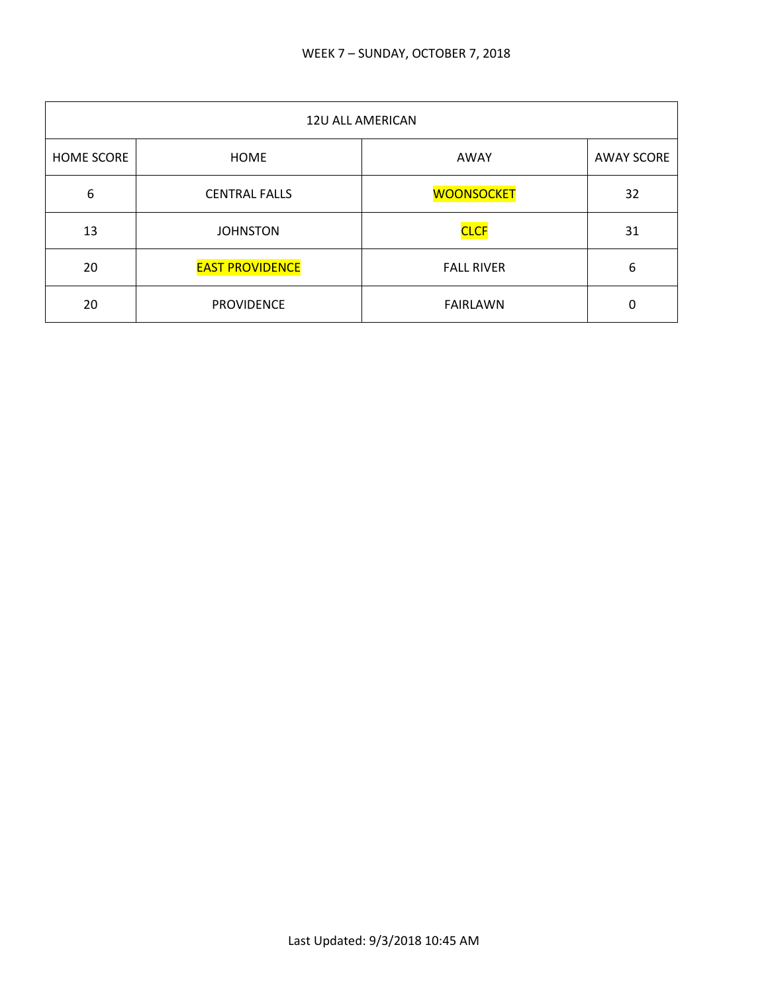| 12U ALL AMERICAN  |                        |                   |                   |
|-------------------|------------------------|-------------------|-------------------|
| <b>HOME SCORE</b> | <b>HOME</b>            | AWAY              | <b>AWAY SCORE</b> |
| 6                 | <b>CENTRAL FALLS</b>   | <b>WOONSOCKET</b> | 32                |
| 13                | <b>JOHNSTON</b>        | <b>CLCF</b>       | 31                |
| 20                | <b>EAST PROVIDENCE</b> | <b>FALL RIVER</b> | 6                 |
| 20                | <b>PROVIDENCE</b>      | <b>FAIRLAWN</b>   | 0                 |